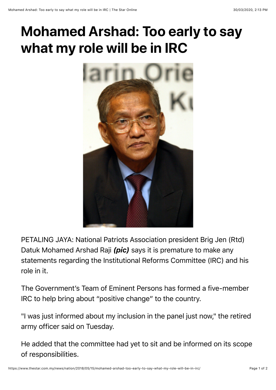## **Mohamed Arshad: Too early to say what my role will be in IRC**



PETALING JAYA: National Patriots Association president Brig Jen (Rtd) Datuk Mohamed Arshad Raji *(pic)* says it is premature to make any statements regarding the Institutional Reforms Committee (IRC) and his role in it.

The Government's Team of Eminent Persons has formed a five-member IRC to help bring about "positive change" to the country.

"I was just informed about my inclusion in the panel just now," the retired army officer said on Tuesday.

He added that the committee had yet to sit and be informed on its scope of responsibilities.